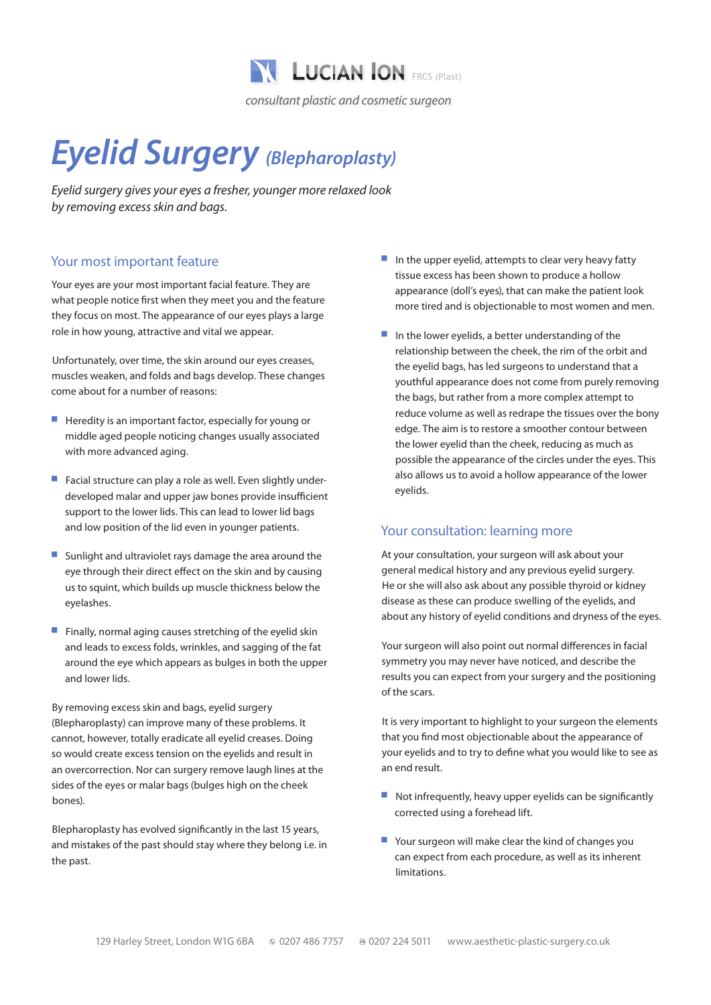

# *Eyelid Surgery (Blepharoplasty)*

*Eyelid surgery gives your eyes a fresher, younger more relaxed look by removing excess skin and bags.*

# Your most important feature

Your eyes are your most important facial feature. They are what people notice first when they meet you and the feature they focus on most. The appearance of our eyes plays a large role in how young, attractive and vital we appear.

Unfortunately, over time, the skin around our eyes creases, muscles weaken, and folds and bags develop. These changes come about for a number of reasons:

- $\blacksquare$  Heredity is an important factor, especially for young or middle aged people noticing changes usually associated with more advanced aging.
- Facial structure can play a role as well. Even slightly underdeveloped malar and upper jaw bones provide insufficient support to the lower lids. This can lead to lower lid bags and low position of the lid even in younger patients.
- **Sunlight and ultraviolet rays damage the area around the** eye through their direct effect on the skin and by causing us to squint, which builds up muscle thickness below the eyelashes.
- $\blacksquare$  Finally, normal aging causes stretching of the eyelid skin and leads to excess folds, wrinkles, and sagging of the fat around the eye which appears as bulges in both the upper and lower lids.

By removing excess skin and bags, eyelid surgery (Blepharoplasty) can improve many of these problems. It cannot, however, totally eradicate all eyelid creases. Doing so would create excess tension on the eyelids and result in an overcorrection. Nor can surgery remove laugh lines at the sides of the eyes or malar bags (bulges high on the cheek bones).

Blepharoplasty has evolved significantly in the last 15 years, and mistakes of the past should stay where they belong i.e. in the past.

- $\blacksquare$  In the upper eyelid, attempts to clear very heavy fatty tissue excess has been shown to produce a hollow appearance (doll's eyes), that can make the patient look more tired and is objectionable to most women and men.
- $\blacksquare$  In the lower evelids, a better understanding of the relationship between the cheek, the rim of the orbit and the eyelid bags, has led surgeons to understand that a youthful appearance does not come from purely removing the bags, but rather from a more complex attempt to reduce volume as well as redrape the tissues over the bony edge. The aim is to restore a smoother contour between the lower eyelid than the cheek, reducing as much as possible the appearance of the circles under the eyes. This also allows us to avoid a hollow appearance of the lower eyelids.

### Your consultation: learning more

At your consultation, your surgeon will ask about your general medical history and any previous eyelid surgery. He or she will also ask about any possible thyroid or kidney disease as these can produce swelling of the eyelids, and about any history of eyelid conditions and dryness of the eyes.

Your surgeon will also point out normal differences in facial symmetry you may never have noticed, and describe the results you can expect from your surgery and the positioning of the scars.

It is very important to highlight to your surgeon the elements that you find most objectionable about the appearance of your eyelids and to try to define what you would like to see as an end result.

- $\blacksquare$  Not infrequently, heavy upper eyelids can be significantly corrected using a forehead lift.
- $\blacksquare$  Your surgeon will make clear the kind of changes you can expect from each procedure, as well as its inherent limitations.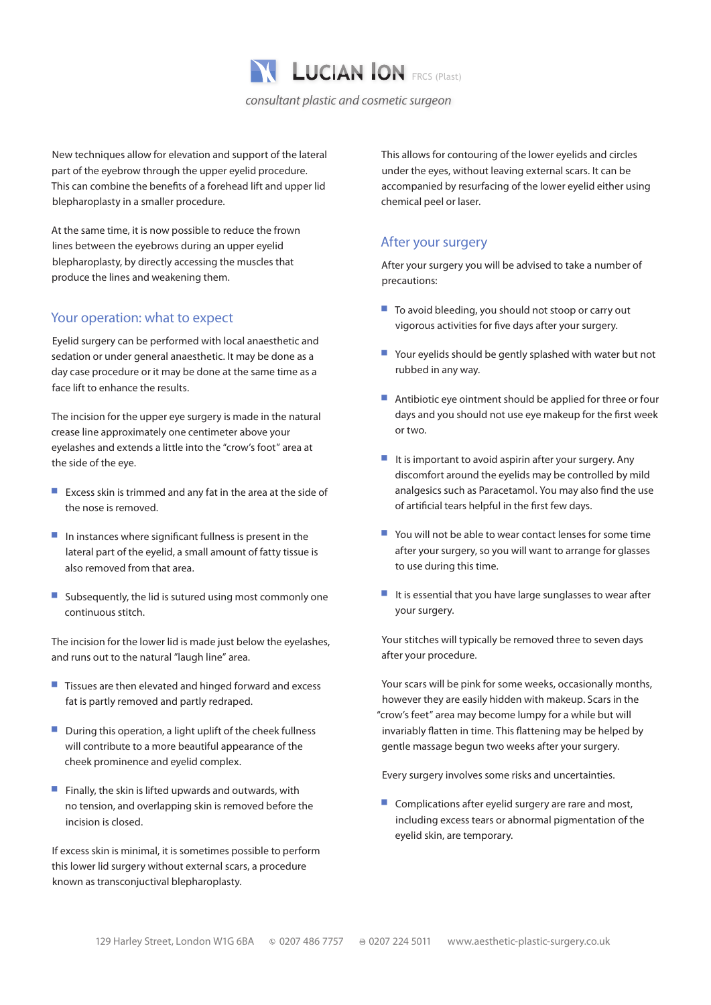

New techniques allow for elevation and support of the lateral part of the eyebrow through the upper eyelid procedure. This can combine the benefits of a forehead lift and upper lid blepharoplasty in a smaller procedure.

At the same time, it is now possible to reduce the frown lines between the eyebrows during an upper eyelid blepharoplasty, by directly accessing the muscles that produce the lines and weakening them.

#### Your operation: what to expect

Eyelid surgery can be performed with local anaesthetic and sedation or under general anaesthetic. It may be done as a day case procedure or it may be done at the same time as a face lift to enhance the results.

The incision for the upper eye surgery is made in the natural crease line approximately one centimeter above your eyelashes and extends a little into the "crow's foot" area at the side of the eye.

- $\blacksquare$  Excess skin is trimmed and any fat in the area at the side of the nose is removed.
- $\blacksquare$  In instances where significant fullness is present in the lateral part of the eyelid, a small amount of fatty tissue is also removed from that area.
- $\blacksquare$  Subsequently, the lid is sutured using most commonly one continuous stitch.

The incision for the lower lid is made just below the eyelashes, and runs out to the natural "laugh line" area.

- $\blacksquare$  Tissues are then elevated and hinged forward and excess fat is partly removed and partly redraped.
- $\blacksquare$  During this operation, a light uplift of the cheek fullness will contribute to a more beautiful appearance of the cheek prominence and eyelid complex.
- $\blacksquare$  Finally, the skin is lifted upwards and outwards, with no tension, and overlapping skin is removed before the incision is closed.

If excess skin is minimal, it is sometimes possible to perform this lower lid surgery without external scars, a procedure known as transconjuctival blepharoplasty.

This allows for contouring of the lower eyelids and circles under the eyes, without leaving external scars. It can be accompanied by resurfacing of the lower eyelid either using chemical peel or laser.

### After your surgery

After your surgery you will be advised to take a number of precautions:

- To avoid bleeding, you should not stoop or carry out vigorous activities for five days after your surgery.
- $\blacksquare$  Your eyelids should be gently splashed with water but not rubbed in any way.
- $\blacksquare$  Antibiotic eye ointment should be applied for three or four days and you should not use eye makeup for the first week or two.
- $\blacksquare$  It is important to avoid aspirin after your surgery. Any discomfort around the eyelids may be controlled by mild analgesics such as Paracetamol. You may also find the use of artificial tears helpful in the first few days.
- $\blacksquare$  You will not be able to wear contact lenses for some time after your surgery, so you will want to arrange for glasses to use during this time.
- $\blacksquare$  It is essential that you have large sunglasses to wear after your surgery.

Your stitches will typically be removed three to seven days after your procedure.

Your scars will be pink for some weeks, occasionally months, however they are easily hidden with makeup. Scars in the "crow's feet" area may become lumpy for a while but will invariably flatten in time. This flattening may be helped by gentle massage begun two weeks after your surgery.

Every surgery involves some risks and uncertainties.

 $\blacksquare$  Complications after eyelid surgery are rare and most, including excess tears or abnormal pigmentation of the eyelid skin, are temporary.